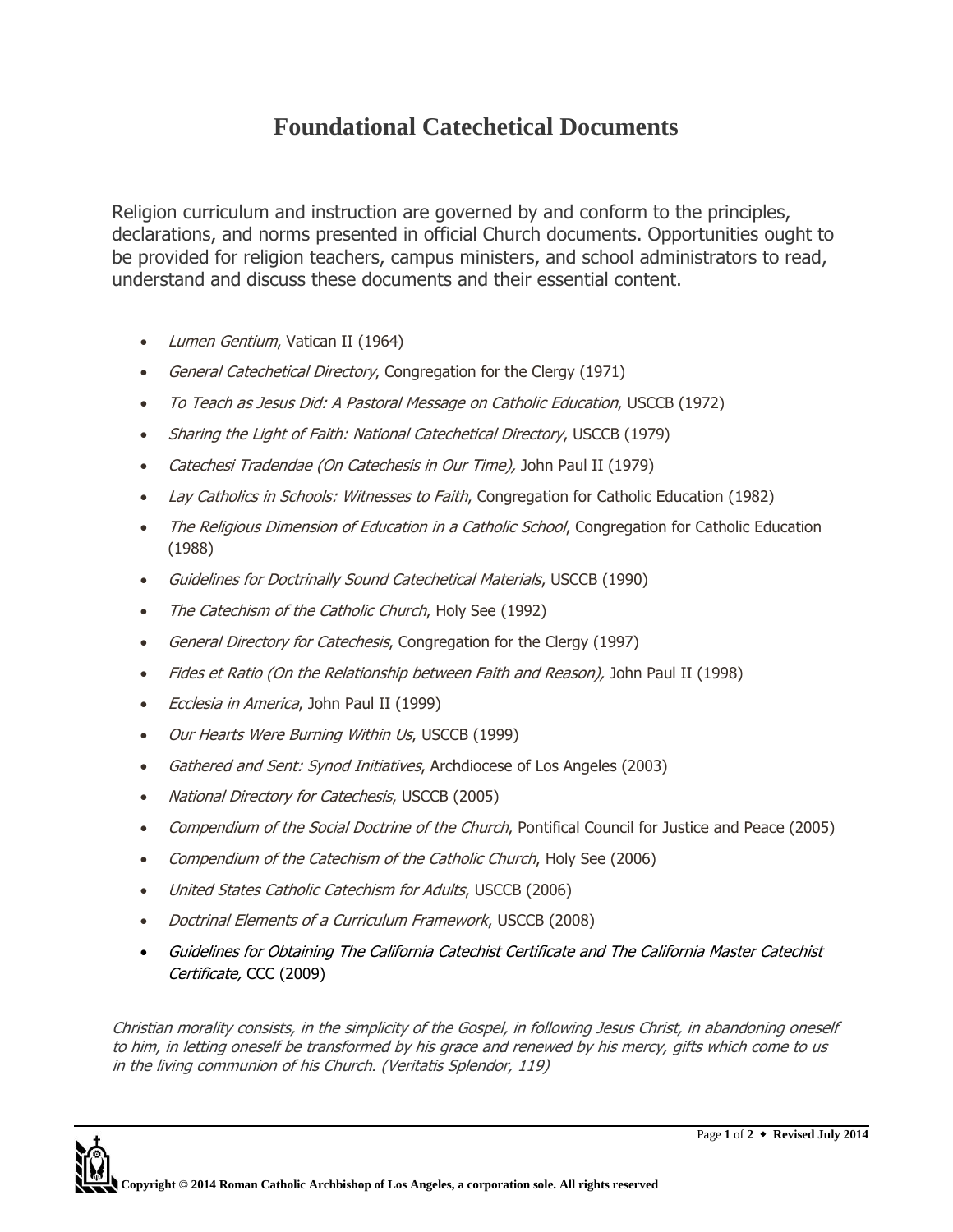## **Foundational Catechetical Documents**

Religion curriculum and instruction are governed by and conform to the principles, declarations, and norms presented in official Church documents. Opportunities ought to be provided for religion teachers, campus ministers, and school administrators to read, understand and discuss these documents and their essential content.

- Lumen Gentium, Vatican II (1964)
- General Catechetical Directory, Congregation for the Clergy (1971)
- To Teach as Jesus Did: A Pastoral Message on Catholic Education, USCCB (1972)
- Sharing the Light of Faith: National Catechetical Directory, USCCB (1979)
- Catechesi Tradendae (On Catechesis in Our Time), John Paul II (1979)
- Lay Catholics in Schools: Witnesses to Faith, Congregation for Catholic Education (1982)
- The Religious Dimension of Education in a Catholic School, Congregation for Catholic Education (1988)
- Guidelines for Doctrinally Sound Catechetical Materials, USCCB (1990)
- The Catechism of the Catholic Church, Holy See (1992)
- General Directory for Catechesis, Congregation for the Clergy (1997)
- Fides et Ratio (On the Relationship between Faith and Reason), John Paul II (1998)
- *Ecclesia in America*, John Paul II (1999)
- Our Hearts Were Burning Within Us, USCCB (1999)
- Gathered and Sent: Synod Initiatives, Archdiocese of Los Angeles (2003)
- National Directory for Catechesis, USCCB (2005)
- Compendium of the Social Doctrine of the Church, Pontifical Council for Justice and Peace (2005)
- Compendium of the Catechism of the Catholic Church, Holy See (2006)
- United States Catholic Catechism for Adults, USCCB (2006)
- Doctrinal Elements of a Curriculum Framework, USCCB (2008)
- Guidelines for Obtaining The California Catechist Certificate and The California Master Catechist Certificate, CCC (2009)

Christian morality consists, in the simplicity of the Gospel, in following Jesus Christ, in abandoning oneself to him, in letting oneself be transformed by his grace and renewed by his mercy, gifts which come to us in the living communion of his Church. (Veritatis Splendor, 119)